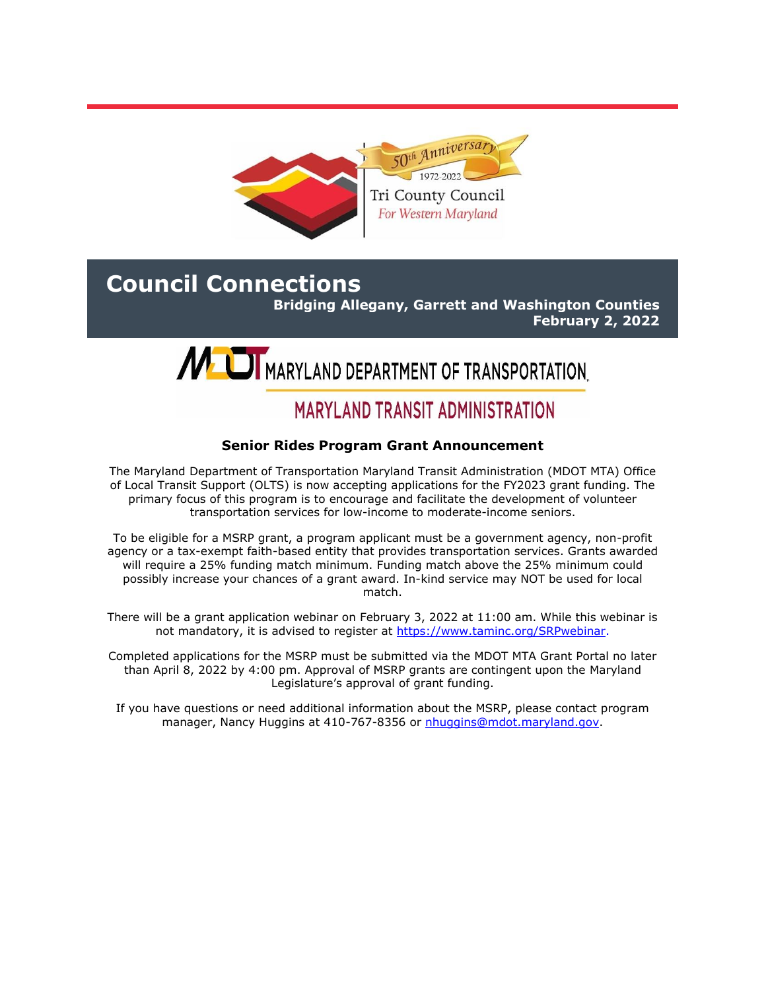

# **Council Connections**

**Bridging Allegany, Garrett and Washington Counties February 2, 2022**



# **MARYLAND TRANSIT ADMINISTRATION**

## **Senior Rides Program Grant Announcement**

The Maryland Department of Transportation Maryland Transit Administration (MDOT MTA) Office of Local Transit Support (OLTS) is now accepting applications for the FY2023 grant funding. The primary focus of this program is to encourage and facilitate the development of volunteer transportation services for low-income to moderate-income seniors.

To be eligible for a MSRP grant, a program applicant must be a government agency, non-profit agency or a tax-exempt faith-based entity that provides transportation services. Grants awarded will require a 25% funding match minimum. Funding match above the 25% minimum could possibly increase your chances of a grant award. In-kind service may NOT be used for local match.

There will be a grant application webinar on February 3, 2022 at 11:00 am. While this webinar is not mandatory, it is advised to register at [https://www.taminc.org/SRPwebinar.](https://www.taminc.org/SRPwebinar)

Completed applications for the MSRP must be submitted via the MDOT MTA Grant Portal no later than April 8, 2022 by 4:00 pm. Approval of MSRP grants are contingent upon the Maryland Legislature's approval of grant funding.

If you have questions or need additional information about the MSRP, please contact program manager, Nancy Huggins at 410-767-8356 or [nhuggins@mdot.maryland.gov.](mailto:nhuggins@mdot.maryland.gov)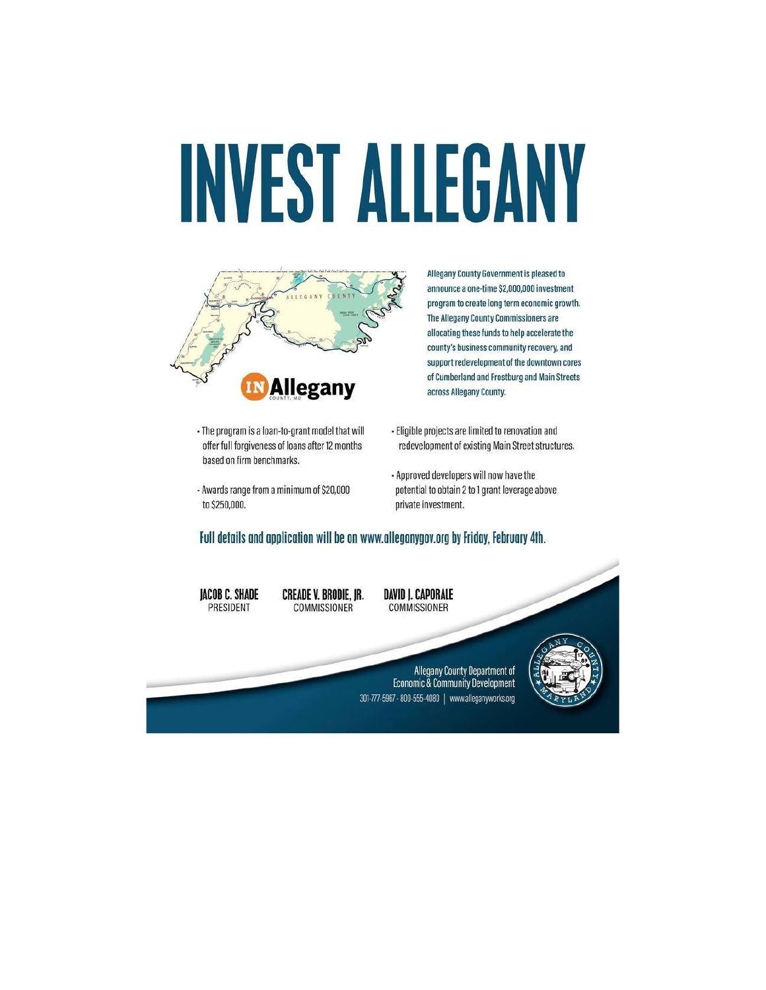# **INVEST ALLEGANY**



Allegany County Government is pleased to announce a one-time \$2,000,000 investment program to create long term economic growth. The Allegany County Commissioners are allocating these funds to help accelerate the county's business community recovery, and support redevelopment of the downtown cores of Cumberland and Frostburg and Main Streets across Allegany County.

- · The program is a loan-to-grant model that will offer full forgiveness of loans after 12 months based on firm benchmarks.
- Awards range from a minimum of \$20,000 to \$250,000.
- Eligible projects are limited to renovation and redevelopment of existing Main Street structures.
- Approved developers will now have the potential to obtain 2 to 1 grant leverage above private investment.

#### Full details and application will be on www.alleganygov.org by Friday, February 4th.